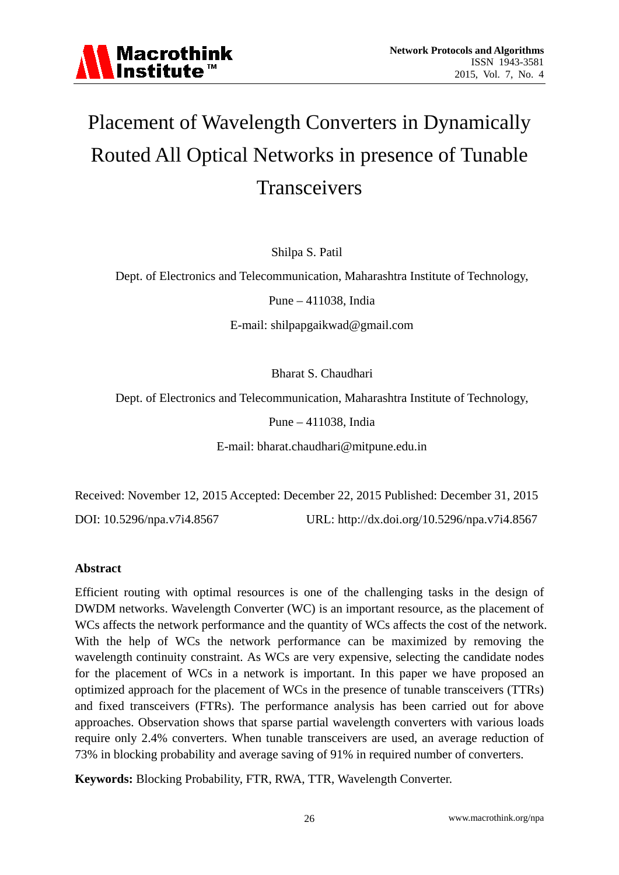

# Placement of Wavelength Converters in Dynamically Routed All Optical Networks in presence of Tunable **Transceivers**

Shilpa S. Patil

Dept. of Electronics and Telecommunication, Maharashtra Institute of Technology,

Pune – 411038, India

E-mail: shilpapgaikwad@gmail.com

Bharat S. Chaudhari

Dept. of Electronics and Telecommunication, Maharashtra Institute of Technology,

Pune – 411038, India

E-mail: bharat.chaudhari@mitpune.edu.in

Received: November 12, 2015 Accepted: December 22, 2015 Published: December 31, 2015

DOI: 10.5296/npa.v7i4.8567 URL: http://dx.doi.org/10.5296/npa.v7i4.8567

# **Abstract**

Efficient routing with optimal resources is one of the challenging tasks in the design of DWDM networks. Wavelength Converter (WC) is an important resource, as the placement of WCs affects the network performance and the quantity of WCs affects the cost of the network. With the help of WCs the network performance can be maximized by removing the wavelength continuity constraint. As WCs are very expensive, selecting the candidate nodes for the placement of WCs in a network is important. In this paper we have proposed an optimized approach for the placement of WCs in the presence of tunable transceivers (TTRs) and fixed transceivers (FTRs). The performance analysis has been carried out for above approaches. Observation shows that sparse partial wavelength converters with various loads require only 2.4% converters. When tunable transceivers are used, an average reduction of 73% in blocking probability and average saving of 91% in required number of converters.

**Keywords:** Blocking Probability, FTR, RWA, TTR, Wavelength Converter.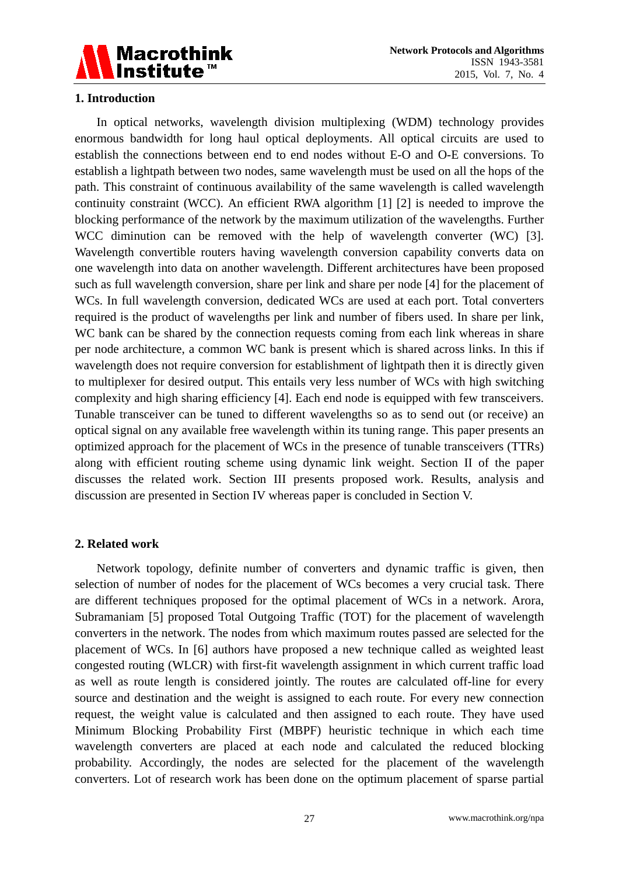

## **1. Introduction**

In optical networks, wavelength division multiplexing (WDM) technology provides enormous bandwidth for long haul optical deployments. All optical circuits are used to establish the connections between end to end nodes without E-O and O-E conversions. To establish a lightpath between two nodes, same wavelength must be used on all the hops of the path. This constraint of continuous availability of the same wavelength is called wavelength continuity constraint (WCC). An efficient RWA algorithm [1] [2] is needed to improve the blocking performance of the network by the maximum utilization of the wavelengths. Further WCC diminution can be removed with the help of wavelength converter (WC) [3]. Wavelength convertible routers having wavelength conversion capability converts data on one wavelength into data on another wavelength. Different architectures have been proposed such as full wavelength conversion, share per link and share per node [4] for the placement of WCs. In full wavelength conversion, dedicated WCs are used at each port. Total converters required is the product of wavelengths per link and number of fibers used. In share per link, WC bank can be shared by the connection requests coming from each link whereas in share per node architecture, a common WC bank is present which is shared across links. In this if wavelength does not require conversion for establishment of lightpath then it is directly given to multiplexer for desired output. This entails very less number of WCs with high switching complexity and high sharing efficiency [4]. Each end node is equipped with few transceivers. Tunable transceiver can be tuned to different wavelengths so as to send out (or receive) an optical signal on any available free wavelength within its tuning range. This paper presents an optimized approach for the placement of WCs in the presence of tunable transceivers (TTRs) along with efficient routing scheme using dynamic link weight. Section II of the paper discusses the related work. Section III presents proposed work. Results, analysis and discussion are presented in Section IV whereas paper is concluded in Section V.

#### **2. Related work**

Network topology, definite number of converters and dynamic traffic is given, then selection of number of nodes for the placement of WCs becomes a very crucial task. There are different techniques proposed for the optimal placement of WCs in a network. Arora, Subramaniam [5] proposed Total Outgoing Traffic (TOT) for the placement of wavelength converters in the network. The nodes from which maximum routes passed are selected for the placement of WCs. In [6] authors have proposed a new technique called as weighted least congested routing (WLCR) with first-fit wavelength assignment in which current traffic load as well as route length is considered jointly. The routes are calculated off-line for every source and destination and the weight is assigned to each route. For every new connection request, the weight value is calculated and then assigned to each route. They have used Minimum Blocking Probability First (MBPF) heuristic technique in which each time wavelength converters are placed at each node and calculated the reduced blocking probability. Accordingly, the nodes are selected for the placement of the wavelength converters. Lot of research work has been done on the optimum placement of sparse partial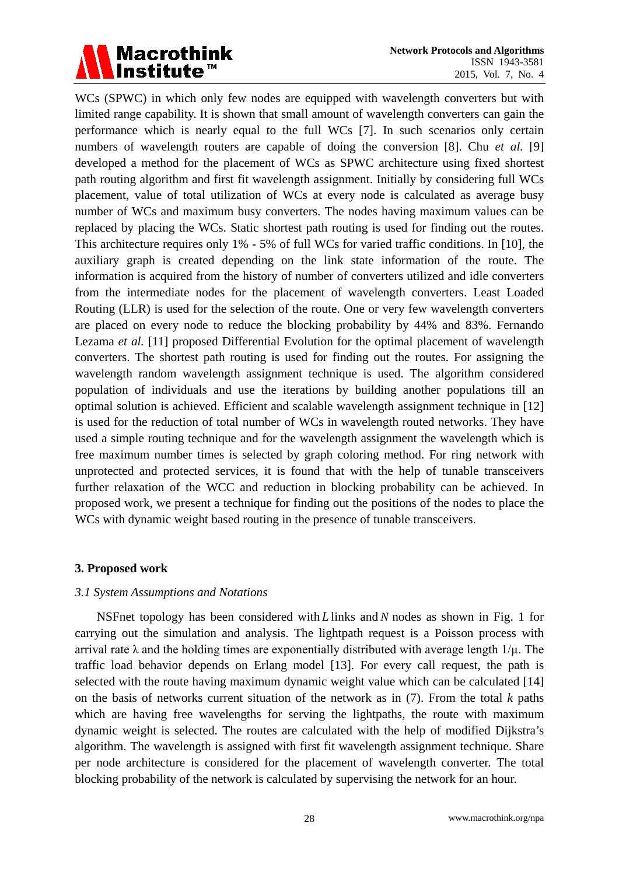

WCs (SPWC) in which only few nodes are equipped with wavelength converters but with limited range capability. It is shown that small amount of wavelength converters can gain the performance which is nearly equal to the full WCs [7]. In such scenarios only certain numbers of wavelength routers are capable of doing the conversion [8]. Chu *et al.* [9] developed a method for the placement of WCs as SPWC architecture using fixed shortest path routing algorithm and first fit wavelength assignment. Initially by considering full WCs placement, value of total utilization of WCs at every node is calculated as average busy number of WCs and maximum busy converters. The nodes having maximum values can be replaced by placing the WCs. Static shortest path routing is used for finding out the routes. This architecture requires only 1% - 5% of full WCs for varied traffic conditions. In [10], the auxiliary graph is created depending on the link state information of the route. The information is acquired from the history of number of converters utilized and idle converters from the intermediate nodes for the placement of wavelength converters. Least Loaded Routing (LLR) is used for the selection of the route. One or very few wavelength converters are placed on every node to reduce the blocking probability by 44% and 83%. Fernando Lezama *et al.* [11] proposed Differential Evolution for the optimal placement of wavelength converters. The shortest path routing is used for finding out the routes. For assigning the wavelength random wavelength assignment technique is used. The algorithm considered population of individuals and use the iterations by building another populations till an optimal solution is achieved. Efficient and scalable wavelength assignment technique in [12] is used for the reduction of total number of WCs in wavelength routed networks. They have used a simple routing technique and for the wavelength assignment the wavelength which is free maximum number times is selected by graph coloring method. For ring network with unprotected and protected services, it is found that with the help of tunable transceivers further relaxation of the WCC and reduction in blocking probability can be achieved. In proposed work, we present a technique for finding out the positions of the nodes to place the WCs with dynamic weight based routing in the presence of tunable transceivers.

#### **3. Proposed work**

#### *3.1 System Assumptions and Notations*

NSFnet topology has been considered with *L* links and *N* nodes as shown in Fig. 1 for carrying out the simulation and analysis. The lightpath request is a Poisson process with arrival rate  $\lambda$  and the holding times are exponentially distributed with average length  $1/\mu$ . The traffic load behavior depends on Erlang model [13]. For every call request, the path is selected with the route having maximum dynamic weight value which can be calculated [14] on the basis of networks current situation of the network as in (7). From the total *k* paths which are having free wavelengths for serving the lightpaths, the route with maximum dynamic weight is selected. The routes are calculated with the help of modified Dijkstra's algorithm. The wavelength is assigned with first fit wavelength assignment technique. Share per node architecture is considered for the placement of wavelength converter. The total blocking probability of the network is calculated by supervising the network for an hour.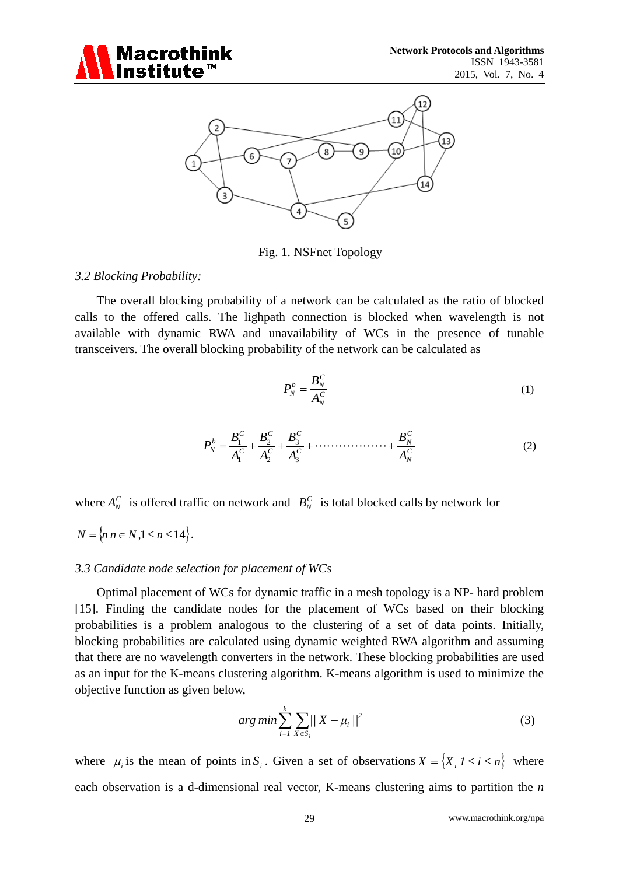



Fig. 1. NSFnet Topology

## *3.2 Blocking Probability:*

The overall blocking probability of a network can be calculated as the ratio of blocked calls to the offered calls. The lighpath connection is blocked when wavelength is not available with dynamic RWA and unavailability of WCs in the presence of tunable transceivers. The overall blocking probability of the network can be calculated as

$$
P_N^b = \frac{B_N^C}{A_N^C} \tag{1}
$$

$$
P_N^b = \frac{B_1^c}{A_1^c} + \frac{B_2^c}{A_2^c} + \frac{B_3^c}{A_3^c} + \dots + \frac{B_N^c}{A_N^c}
$$
 (2)

where  $A_N^C$  is offered traffic on network and  $B_N^C$  is total blocked calls by network for

$$
N = \{n | n \in N, 1 \le n \le 14\}.
$$

#### *3.3 Candidate node selection for placement of WCs*

Optimal placement of WCs for dynamic traffic in a mesh topology is a NP- hard problem [15]. Finding the candidate nodes for the placement of WCs based on their blocking probabilities is a problem analogous to the clustering of a set of data points. Initially, blocking probabilities are calculated using dynamic weighted RWA algorithm and assuming that there are no wavelength converters in the network. These blocking probabilities are used as an input for the K-means clustering algorithm. K-means algorithm is used to minimize the objective function as given below,

$$
arg min \sum_{i=1}^{k} \sum_{X \in S_i} ||X - \mu_i||^2
$$
 (3)

where  $\mu_i$  is the mean of points in  $S_i$ . Given a set of observations  $X = \{X_i | 1 \le i \le n\}$  where each observation is a d-dimensional real vector, K-means clustering aims to partition the *n*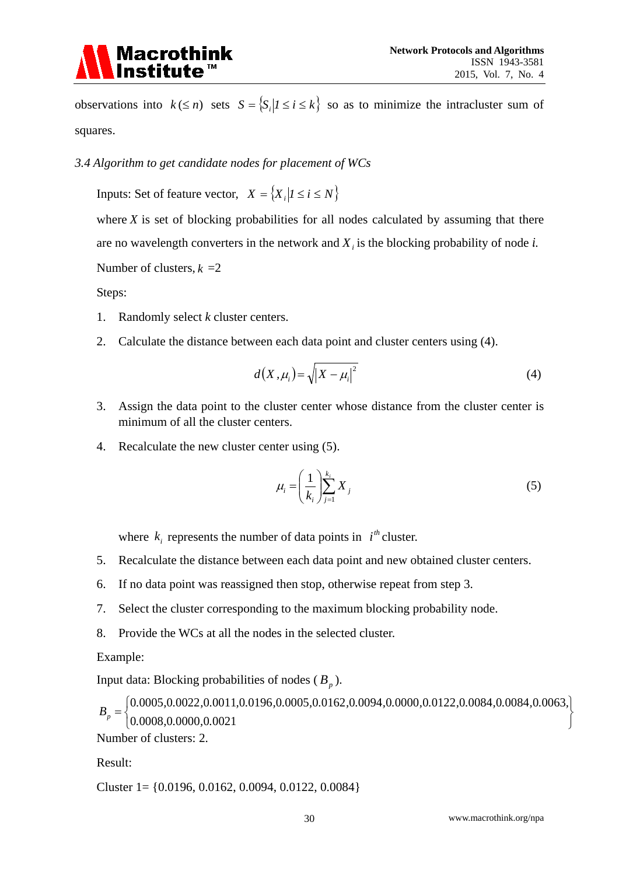

observations into  $k \le n$ ) sets  $S = \{S_i | I \le i \le k\}$  so as to minimize the intracluster sum of squares.

*3.4 Algorithm to get candidate nodes for placement of WCs*

Inputs: Set of feature vector,  $X = \{X_i | 1 \le i \le N\}$ 

where  $X$  is set of blocking probabilities for all nodes calculated by assuming that there are no wavelength converters in the network and  $X_i$  is the blocking probability of node *i*.

Number of clusters,  $k = 2$ 

Steps:

- 1. Randomly select *k* cluster centers.
- 2. Calculate the distance between each data point and cluster centers using (4).

$$
d(X, \mu_i) = \sqrt{|X - \mu_i|^2} \tag{4}
$$

- 3. Assign the data point to the cluster center whose distance from the cluster center is minimum of all the cluster centers.
- 4. Recalculate the new cluster center using (5).

$$
\mu_i = \left(\frac{1}{k_i}\right)_{j=1}^{k_i} X_j \tag{5}
$$

where  $k_i$  represents the number of data points in  $i^{th}$  cluster.

- 5. Recalculate the distance between each data point and new obtained cluster centers.
- 6. If no data point was reassigned then stop, otherwise repeat from step 3.
- 7. Select the cluster corresponding to the maximum blocking probability node.
- 8. Provide the WCs at all the nodes in the selected cluster.

Example:

Input data: Blocking probabilities of nodes  $(B_p)$ .

J  $\left\{ \right\}$  $\cdot$  $\overline{\mathcal{L}}$  $=\left\{ \begin{matrix} 0.0005, 0.0022, 0.0011, 0.0196, 0.0005, 0.0162, 0.0094, 0.0000, 0.0122, 0.0084, 0.0084, 0.0063 \ 0.0008, 0.0000, 0.0021 \end{matrix} \right.$  $B_p = \begin{cases} 0.0005, 0.0022, 0.0011, 0.0196, 0.0005, 0.0162, 0.0094, 0.0000, 0.0122, 0.0084, 0.0084, 0.0063, \\ 0.0008, 0.0000, 0.0021 \end{cases}$ 

Number of clusters: 2.

Result:

Cluster 1= {0.0196, 0.0162, 0.0094, 0.0122, 0.0084}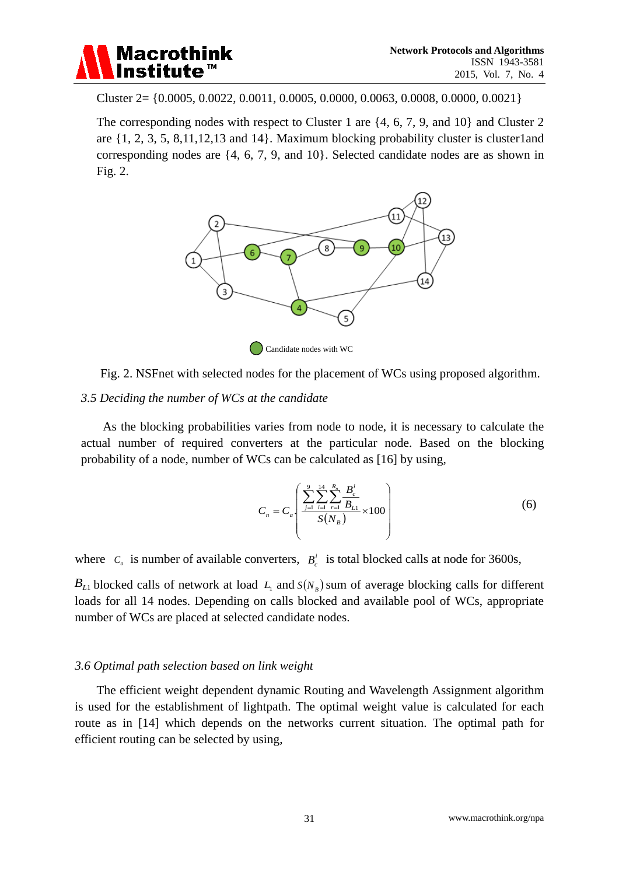

Cluster 2= {0.0005, 0.0022, 0.0011, 0.0005, 0.0000, 0.0063, 0.0008, 0.0000, 0.0021}

The corresponding nodes with respect to Cluster 1 are {4, 6, 7, 9, and 10} and Cluster 2 are  $\{1, 2, 3, 5, 8, 11, 12, 13 \text{ and } 14\}$ . Maximum blocking probability cluster is cluster1and corresponding nodes are {4, 6, 7, 9, and 10}. Selected candidate nodes are as shown in Fig. 2.



Fig. 2. NSFnet with selected nodes for the placement of WCs using proposed algorithm.

#### *3.5 Deciding the number of WCs at the candidate*

As the blocking probabilities varies from node to node, it is necessary to calculate the actual number of required converters at the particular node. Based on the blocking probability of a node, number of WCs can be calculated as [16] by using,

$$
C_n = C_a \left( \frac{\sum_{j=1}^{9} \sum_{i=1}^{14} \sum_{r=1}^{R_n} \frac{B_c^i}{B_{L1}}}{S(N_B)} \times 100 \right)
$$
 (6)

where  $C_a$  is number of available converters,  $B_c^i$  is total blocked calls at node for 3600s,

 $B_{L1}$  blocked calls of network at load  $L_1$  and  $S(N_B)$  sum of average blocking calls for different loads for all 14 nodes. Depending on calls blocked and available pool of WCs, appropriate number of WCs are placed at selected candidate nodes.

#### *3.6 Optimal path selection based on link weight*

The efficient weight dependent dynamic Routing and Wavelength Assignment algorithm is used for the establishment of lightpath. The optimal weight value is calculated for each route as in [14] which depends on the networks current situation. The optimal path for efficient routing can be selected by using,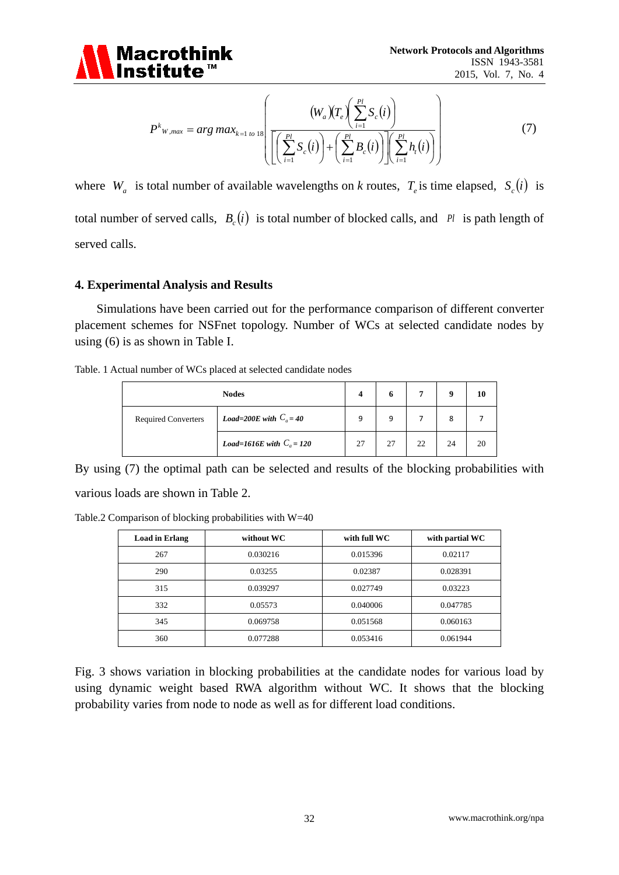

$$
P^{k}w_{,max} = arg max_{k=1 to 18} \left( \frac{(W_a)(T_e) \left( \sum_{i=1}^{Pl} S_c(i) \right)}{\left[ \left( \sum_{i=1}^{Pl} S_c(i) \right) + \left( \sum_{i=1}^{Pl} B_c(i) \right) \right] \left( \sum_{i=1}^{Pl} h_i(i) \right)} \right)
$$
(7)

where  $W_a$  is total number of available wavelengths on *k* routes,  $T_a$  is time elapsed,  $S_a(i)$  is total number of served calls,  $B_c(i)$  is total number of blocked calls, and  $\ell^i$  is path length of served calls.

#### **4. Experimental Analysis and Results**

Simulations have been carried out for the performance comparison of different converter placement schemes for NSFnet topology. Number of WCs at selected candidate nodes by using (6) is as shown in Table I.

Table. 1 Actual number of WCs placed at selected candidate nodes

| <b>Nodes</b>               |                             |    |    |    |    | 10 |
|----------------------------|-----------------------------|----|----|----|----|----|
| <b>Required Converters</b> | Load=200E with $C_a = 40$   | 9  | 9  |    | 8  |    |
|                            | Load=1616E with $C_a = 120$ | 27 | 27 | 22 | 24 | 20 |

By using (7) the optimal path can be selected and results of the blocking probabilities with various loads are shown in Table 2.

Table.2 Comparison of blocking probabilities with W=40

| <b>Load in Erlang</b> | without WC | with full WC | with partial WC |
|-----------------------|------------|--------------|-----------------|
| 267                   | 0.030216   | 0.015396     | 0.02117         |
| 290                   | 0.03255    | 0.02387      | 0.028391        |
| 315                   | 0.039297   | 0.027749     | 0.03223         |
| 332                   | 0.05573    | 0.040006     | 0.047785        |
| 345                   | 0.069758   | 0.051568     | 0.060163        |
| 360                   | 0.077288   | 0.053416     | 0.061944        |

Fig. 3 shows variation in blocking probabilities at the candidate nodes for various load by using dynamic weight based RWA algorithm without WC. It shows that the blocking probability varies from node to node as well as for different load conditions.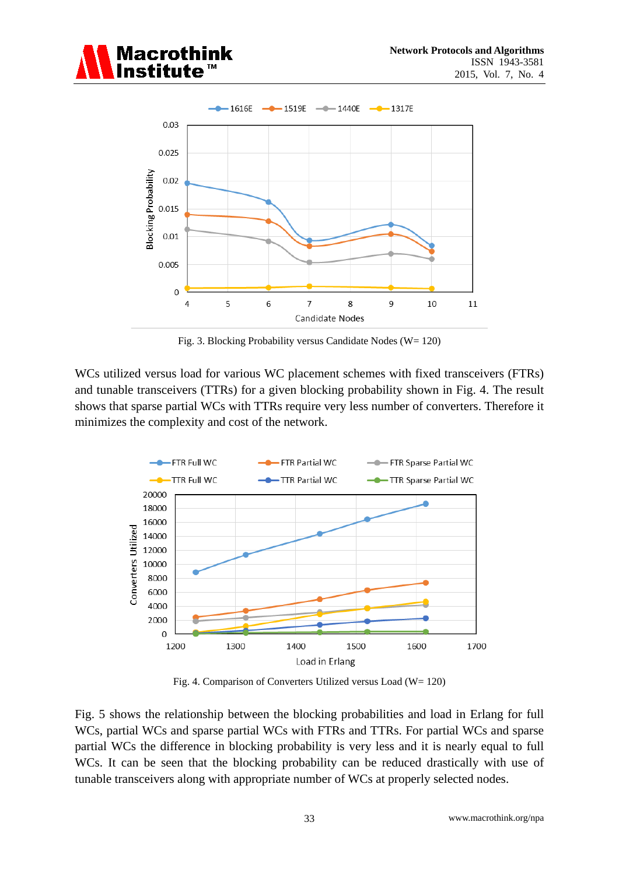



Fig. 3. Blocking Probability versus Candidate Nodes (W= 120)

WCs utilized versus load for various WC placement schemes with fixed transceivers (FTRs) and tunable transceivers (TTRs) for a given blocking probability shown in Fig. 4. The result shows that sparse partial WCs with TTRs require very less number of converters. Therefore it minimizes the complexity and cost of the network.



Fig. 4. Comparison of Converters Utilized versus Load (W= 120)

Fig. 5 shows the relationship between the blocking probabilities and load in Erlang for full WCs, partial WCs and sparse partial WCs with FTRs and TTRs. For partial WCs and sparse partial WCs the difference in blocking probability is very less and it is nearly equal to full WCs. It can be seen that the blocking probability can be reduced drastically with use of tunable transceivers along with appropriate number of WCs at properly selected nodes.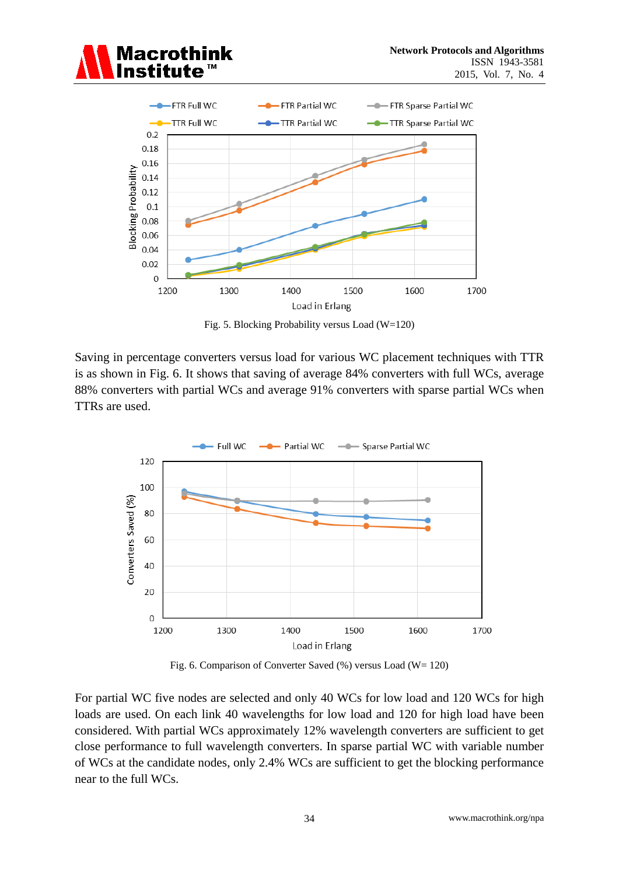



Fig. 5. Blocking Probability versus Load (W=120)

Saving in percentage converters versus load for various WC placement techniques with TTR is as shown in Fig. 6. It shows that saving of average 84% converters with full WCs, average 88% converters with partial WCs and average 91% converters with sparse partial WCs when TTRs are used.



Fig. 6. Comparison of Converter Saved (%) versus Load (W= 120)

For partial WC five nodes are selected and only 40 WCs for low load and 120 WCs for high loads are used. On each link 40 wavelengths for low load and 120 for high load have been considered. With partial WCs approximately 12% wavelength converters are sufficient to get close performance to full wavelength converters. In sparse partial WC with variable number of WCs at the candidate nodes, only 2.4% WCs are sufficient to get the blocking performance near to the full WCs.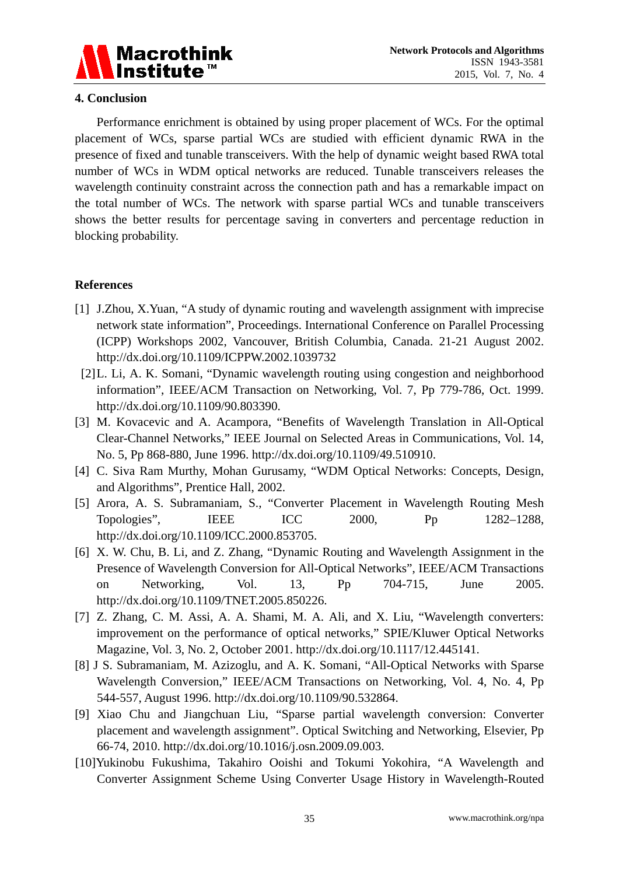

## **4. Conclusion**

Performance enrichment is obtained by using proper placement of WCs. For the optimal placement of WCs, sparse partial WCs are studied with efficient dynamic RWA in the presence of fixed and tunable transceivers. With the help of dynamic weight based RWA total number of WCs in WDM optical networks are reduced. Tunable transceivers releases the wavelength continuity constraint across the connection path and has a remarkable impact on the total number of WCs. The network with sparse partial WCs and tunable transceivers shows the better results for percentage saving in converters and percentage reduction in blocking probability.

# **References**

- [1] J.Zhou, X.Yuan, "A study of dynamic routing and wavelength assignment with imprecise network state information", Proceedings. International Conference on Parallel Processing (ICPP) Workshops 2002, Vancouver, British Columbia, Canada. 21-21 August 2002. http://dx.doi.org/10.1109/ICPPW.2002.1039732
- [2]L. Li, A. K. Somani, "Dynamic wavelength routing using congestion and neighborhood information", IEEE/ACM Transaction on Networking, Vol. 7, Pp 779-786, Oct. 1999. http://dx.doi.org/10.1109/90.803390.
- [3] M. Kovacevic and A. Acampora, "Benefits of Wavelength Translation in All-Optical Clear-Channel Networks," IEEE Journal on Selected Areas in Communications, Vol. 14, No. 5, Pp 868-880, June 1996. http://dx.doi.org/10.1109/49.510910.
- [4] C. Siva Ram Murthy, Mohan Gurusamy, "WDM Optical Networks: Concepts, Design, and Algorithms", Prentice Hall, 2002.
- [5] Arora, A. S. Subramaniam, S., "Converter Placement in Wavelength Routing Mesh Topologies", IEEE ICC 2000, Pp 1282–1288, http://dx.doi.org/10.1109/ICC.2000.853705.
- [6] X. W. Chu, B. Li, and Z. Zhang, "Dynamic Routing and Wavelength Assignment in the Presence of Wavelength Conversion for All-Optical Networks", IEEE/ACM Transactions on Networking, Vol. 13, Pp 704-715, June 2005. http://dx.doi.org/10.1109/TNET.2005.850226.
- [7] Z. Zhang, C. M. Assi, A. A. Shami, M. A. Ali, and X. Liu, "Wavelength converters: improvement on the performance of optical networks," SPIE/Kluwer Optical Networks Magazine, Vol. 3, No. 2, October 2001. http://dx.doi.org/10.1117/12.445141.
- [8] J S. Subramaniam, M. Azizoglu, and A. K. Somani, "All-Optical Networks with Sparse Wavelength Conversion," IEEE/ACM Transactions on Networking, Vol. 4, No. 4, Pp 544-557, August 1996. http://dx.doi.org/10.1109/90.532864.
- [9] Xiao Chu and Jiangchuan Liu, "Sparse partial wavelength conversion: Converter placement and wavelength assignment". Optical Switching and Networking, Elsevier, Pp 66-74, 2010. http://dx.doi.org/10.1016/j.osn.2009.09.003.
- [10]Yukinobu Fukushima, Takahiro Ooishi and Tokumi Yokohira, "A Wavelength and Converter Assignment Scheme Using Converter Usage History in Wavelength-Routed